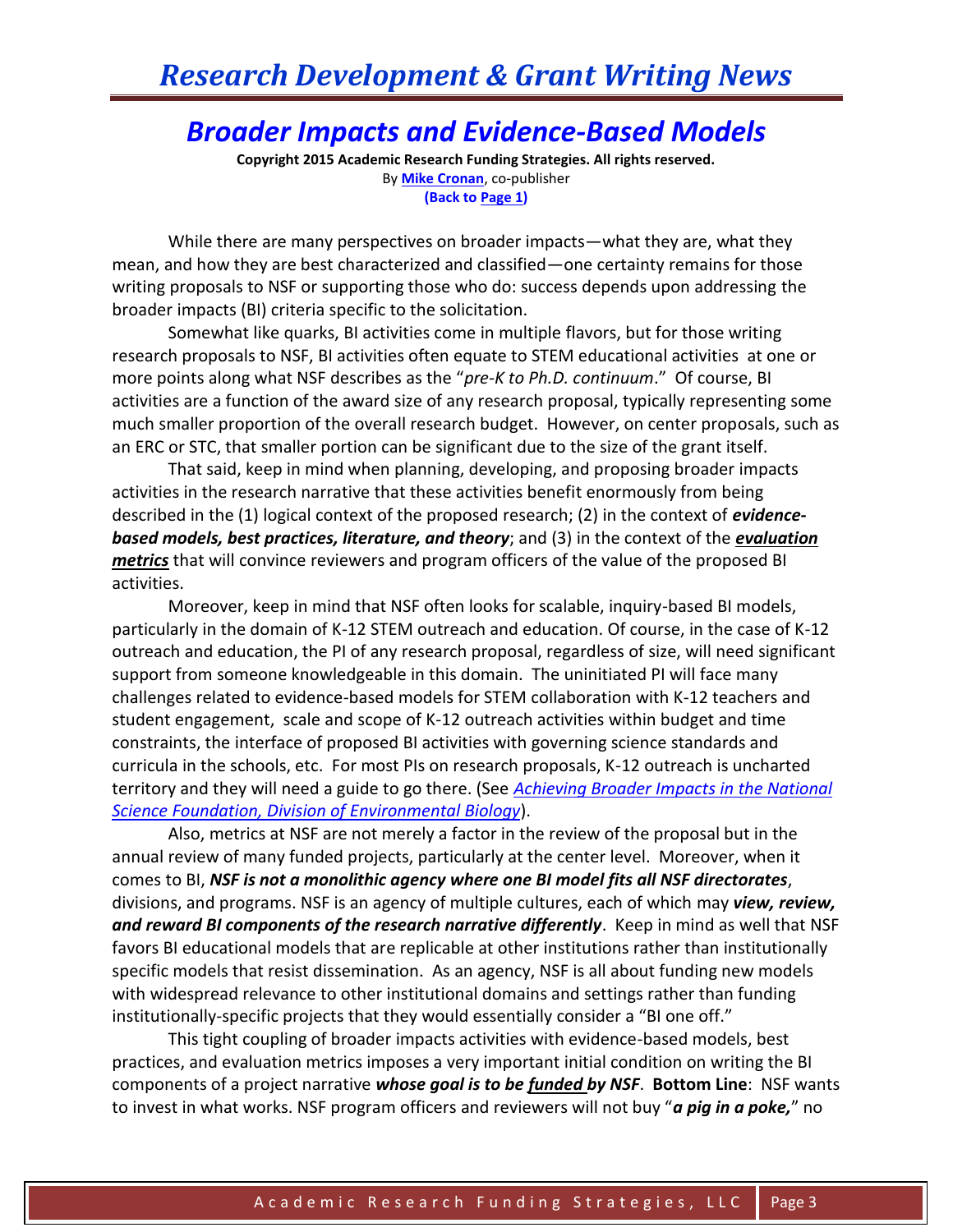## *Research Development & Grant Writing News*

## *Broader Impacts and Evidence-Based Models*

**Copyright 2015 Academic Research Funding Strategies. All rights reserved.** By **[Mike Cronan](mailto:mjcronan@gmail.com)**, co-publisher **(Back to Page 1)**

While there are many perspectives on broader impacts—what they are, what they mean, and how they are best characterized and classified—one certainty remains for those writing proposals to NSF or supporting those who do: success depends upon addressing the broader impacts (BI) criteria specific to the solicitation.

Somewhat like quarks, BI activities come in multiple flavors, but for those writing research proposals to NSF, BI activities often equate to STEM educational activities at one or more points along what NSF describes as the "*pre-K to Ph.D. continuum*." Of course, BI activities are a function of the award size of any research proposal, typically representing some much smaller proportion of the overall research budget. However, on center proposals, such as an ERC or STC, that smaller portion can be significant due to the size of the grant itself.

That said, keep in mind when planning, developing, and proposing broader impacts activities in the research narrative that these activities benefit enormously from being described in the (1) logical context of the proposed research; (2) in the context of *evidencebased models, best practices, literature, and theory*; and (3) in the context of the *evaluation metrics* that will convince reviewers and program officers of the value of the proposed BI activities.

Moreover, keep in mind that NSF often looks for scalable, inquiry-based BI models, particularly in the domain of K-12 STEM outreach and education. Of course, in the case of K-12 outreach and education, the PI of any research proposal, regardless of size, will need significant support from someone knowledgeable in this domain. The uninitiated PI will face many challenges related to evidence-based models for STEM collaboration with K-12 teachers and student engagement, scale and scope of K-12 outreach activities within budget and time constraints, the interface of proposed BI activities with governing science standards and curricula in the schools, etc. For most PIs on research proposals, K-12 outreach is uncharted territory and they will need a guide to go there. (See *[Achieving Broader Impacts in the National](http://bioscience.oxfordjournals.org/content/early/2015/02/19/biosci.biv006.full.pdf)  [Science Foundation, Division of Environmental Biology](http://bioscience.oxfordjournals.org/content/early/2015/02/19/biosci.biv006.full.pdf)*).

Also, metrics at NSF are not merely a factor in the review of the proposal but in the annual review of many funded projects, particularly at the center level. Moreover, when it comes to BI, *NSF is not a monolithic agency where one BI model fits all NSF directorates*, divisions, and programs. NSF is an agency of multiple cultures, each of which may *view, review, and reward BI components of the research narrative differently*. Keep in mind as well that NSF favors BI educational models that are replicable at other institutions rather than institutionally specific models that resist dissemination. As an agency, NSF is all about funding new models with widespread relevance to other institutional domains and settings rather than funding institutionally-specific projects that they would essentially consider a "BI one off."

This tight coupling of broader impacts activities with evidence-based models, best practices, and evaluation metrics imposes a very important initial condition on writing the BI components of a project narrative *whose goal is to be funded by NSF*. **Bottom Line**: NSF wants to invest in what works. NSF program officers and reviewers will not buy "*a pig in a poke,*" no